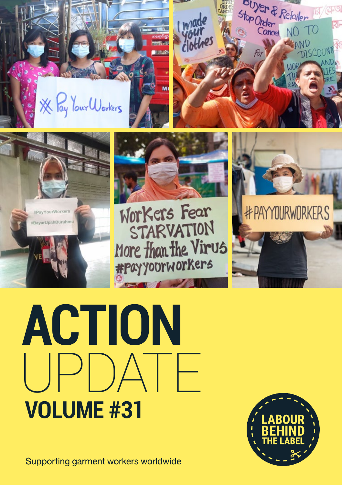









Workers Fear STARVATION More than the Virus

#PAYYOURWORKERS

**ACTION**  UPDATE **VOLUME #31**

Supporting garment workers worldwide

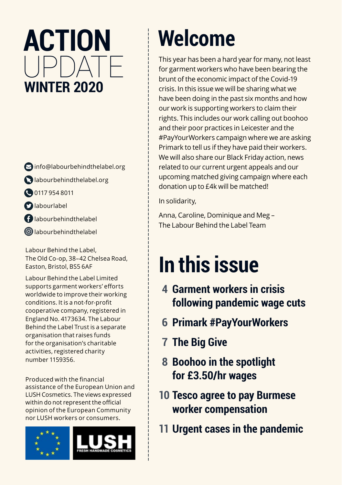### **ACTION**   $|P|$  $A$  $|P|$ **WINTER 2020**

- $\bigcirc$  info@labourbehindthelabel.org
- labourbehindthelabel.org
- 00117 954 8011
- **D**labourlabel
- labourbehindthelabel
- labourbehindthelabel

Labour Behind the Label, The Old Co-op, 38–42 Chelsea Road, Easton, Bristol, BS5 6AF

Labour Behind the Label Limited supports garment workers' efforts worldwide to improve their working conditions. It is a not-for-profit cooperative company, registered in England No. 4173634. The Labour Behind the Label Trust is a separate organisation that raises funds for the organisation's charitable activities, registered charity number 1159356.

Produced with the financial assistance of the European Union and LUSH Cosmetics. The views expressed within do not represent the official opinion of the European Community nor LUSH workers or consumers.



# **Welcome**

This year has been a hard year for many, not least for garment workers who have been bearing the brunt of the economic impact of the Covid-19 crisis. In this issue we will be sharing what we have been doing in the past six months and how our work is supporting workers to claim their rights. This includes our work calling out boohoo and their poor practices in Leicester and the #PayYourWorkers campaign where we are asking Primark to tell us if they have paid their workers. We will also share our Black Friday action, news related to our current urgent appeals and our upcoming matched giving campaign where each donation up to £4k will be matched!

In solidarity,

Anna, Caroline, Dominique and Meg – The Labour Behind the Label Team

### **In this issue**

- **4 Garment workers in crisis following pandemic wage cuts**
- **6 Primark #PayYourWorkers**
- **7 The Big Give**
- **8 Boohoo in the spotlight for £3.50/hr wages**
- **10 Tesco agree to pay Burmese worker compensation**
- **11 Urgent cases in the pandemic**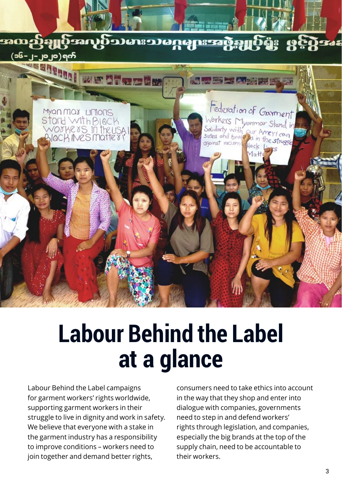

### **Labour Behind the Label at a glance**

Labour Behind the Label campaigns for garment workers' rights worldwide, supporting garment workers in their struggle to live in dignity and work in safety. We believe that everyone with a stake in the garment industry has a responsibility to improve conditions – workers need to join together and demand better rights,

consumers need to take ethics into account in the way that they shop and enter into dialogue with companies, governments need to step in and defend workers' rights through legislation, and companies, especially the big brands at the top of the supply chain, need to be accountable to their workers.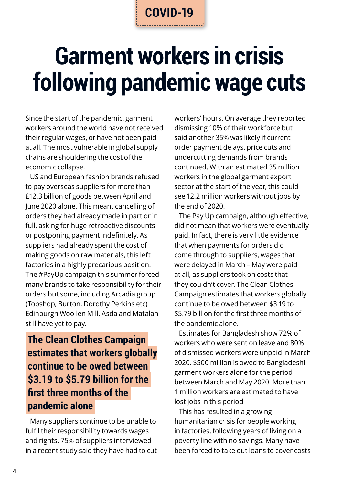# **Garment workers in crisis following pandemic wage cuts**

Since the start of the pandemic, garment workers around the world have not received their regular wages, or have not been paid at all. The most vulnerable in global supply chains are shouldering the cost of the economic collapse.

US and European fashion brands refused to pay overseas suppliers for more than £12.3 billion of goods between April and June 2020 alone. This meant cancelling of orders they had already made in part or in full, asking for huge retroactive discounts or postponing payment indefinitely. As suppliers had already spent the cost of making goods on raw materials, this left factories in a highly precarious position. The #PayUp campaign this summer forced many brands to take responsibility for their orders but some, including Arcadia group (Topshop, Burton, Dorothy Perkins etc) Edinburgh Woollen Mill, Asda and Matalan still have yet to pay.

#### **The Clean Clothes Campaign estimates that workers globally continue to be owed between \$3.19 to \$5.79 billion for the first three months of the pandemic alone**

Many suppliers continue to be unable to fulfil their responsibility towards wages and rights. 75% of suppliers interviewed in a recent study said they have had to cut workers' hours. On average they reported dismissing 10% of their workforce but said another 35% was likely if current order payment delays, price cuts and undercutting demands from brands continued. With an estimated 35 million workers in the global garment export sector at the start of the year, this could see 12.2 million workers without jobs by the end of 2020.

The Pay Up campaign, although effective, did not mean that workers were eventually paid. In fact, there is very little evidence that when payments for orders did come through to suppliers, wages that were delayed in March – May were paid at all, as suppliers took on costs that they couldn't cover. The Clean Clothes Campaign estimates that workers globally continue to be owed between \$3.19 to \$5.79 billion for the first three months of the pandemic alone.

Estimates for Bangladesh show 72% of workers who were sent on leave and 80% of dismissed workers were unpaid in March 2020. \$500 million is owed to Bangladeshi garment workers alone for the period between March and May 2020. More than 1 million workers are estimated to have lost jobs in this period

This has resulted in a growing humanitarian crisis for people working in factories, following years of living on a poverty line with no savings. Many have been forced to take out loans to cover costs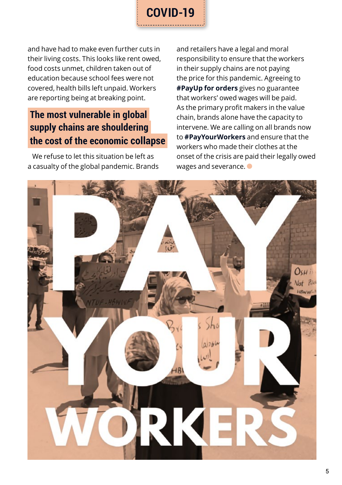

and have had to make even further cuts in their living costs. This looks like rent owed, food costs unmet, children taken out of education because school fees were not covered, health bills left unpaid. Workers are reporting being at breaking point.

#### **The most vulnerable in global supply chains are shouldering the cost of the economic collapse**

We refuse to let this situation be left as a casualty of the global pandemic. Brands and retailers have a legal and moral responsibility to ensure that the workers in their supply chains are not paying the price for this pandemic. Agreeing to **#PayUp for orders** gives no guarantee that workers' owed wages will be paid. As the primary profit makers in the value chain, brands alone have the capacity to intervene. We are calling on all brands now to **#PayYourWorkers** and ensure that the workers who made their clothes at the onset of the crisis are paid their legally owed wages and severance.

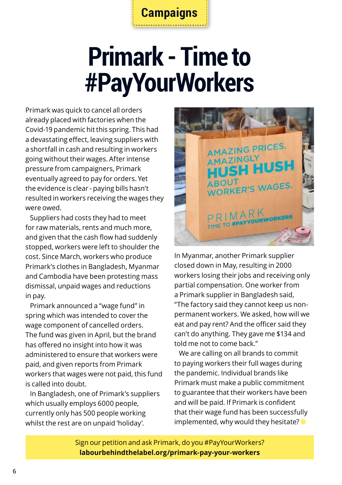#### **Campaigns**

# **Primark - Time to #PayYourWorkers**

Primark was quick to cancel all orders already placed with factories when the Covid-19 pandemic hit this spring. This had a devastating effect, leaving suppliers with a shortfall in cash and resulting in workers going without their wages. After intense pressure from campaigners, Primark eventually agreed to pay for orders. Yet the evidence is clear - paying bills hasn't resulted in workers receiving the wages they were owed.

Suppliers had costs they had to meet for raw materials, rents and much more, and given that the cash flow had suddenly stopped, workers were left to shoulder the cost. Since March, workers who produce Primark's clothes in Bangladesh, Myanmar and Cambodia have been protesting mass dismissal, unpaid wages and reductions in pay.

Primark announced a "wage fund" in spring which was intended to cover the wage component of cancelled orders. The fund was given in April, but the brand has offered no insight into how it was administered to ensure that workers were paid, and given reports from Primark workers that wages were not paid, this fund is called into doubt.

In Bangladesh, one of Primark's suppliers which usually employs 6000 people, currently only has 500 people working whilst the rest are on unpaid 'holiday'.



In Myanmar, another Primark supplier closed down in May, resulting in 2000 workers losing their jobs and receiving only partial compensation. One worker from a Primark supplier in Bangladesh said, "The factory said they cannot keep us nonpermanent workers. We asked, how will we eat and pay rent? And the officer said they can't do anything. They gave me \$134 and told me not to come back."

We are calling on all brands to commit to paying workers their full wages during the pandemic. Individual brands like Primark must make a public commitment to guarantee that their workers have been and will be paid. If Primark is confident that their wage fund has been successfully implemented, why would they hesitate?  $\bullet$ 

Sign our petition and ask Primark, do you #PayYourWorkers? **labourbehindthelabel.org/primark-pay-your-workers**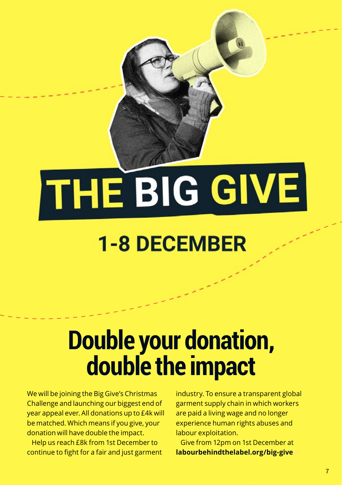#### $\overline{\phantom{a}}$ continue to fight for a fair and just garment Give from 12pm on 1st December at **labourbehindthelabel.org/big-give**

**Double your donation, and the second your donation, and in the second your donation, and in the second your donation, and in the second your donation, and in the second your double your donation, and in the second your do** 

**double the impact of the impact of the impact of the impact of the impact of the impact of the impact of the i** 

### **1-8 DECEMBER**

# **Double your donation, double the impact**

We will be joining the Big Give's Christmas Challenge and launching our biggest end of year appeal ever. All donations up to £4k will be matched. Which means if you give, your donation will have double the impact.

We will be joining the Big Give's Christmas Christmas Christmas Christmas Christmas Christmas Christmas Christmas Christmas Christmas Christmas Christmas Christmas Christmas Christmas Christmas Christmas Christmas Christma Challenge and launching our biggest end of year appeal ever. All donations up to £4k will do £4k will do be matched. Which means if you give, your donation will have double the impact.

Help us reach £8k from 1st December to continue to fight for a fair and just garment industry. To ensure a transparent global garment supply chain in which workers are paid a living wage and no longer experience human rights abuses and labour exploitation.

industry. To ensure a transparent global control and the control and the control and the control and the control and the control and the control and the control and the control and the control and the control and the contr garment supply chain in which workers which workers which workers which workers which workers which workers wh are paid a living wage and no longer experience human rights abuses and abuses and

labour exploitation.

Give from 12pm on 1st December at **labourbehindthelabel.org/big-give**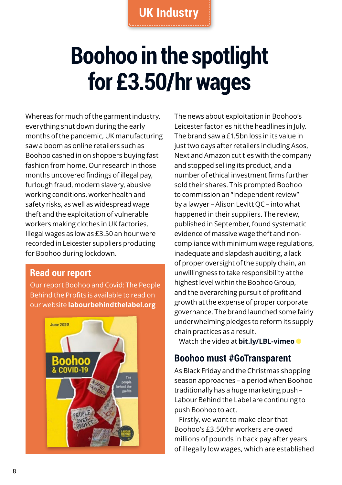# **Boohoo in the spotlight for £3.50/hr wages**

Whereas for much of the garment industry, everything shut down during the early months of the pandemic, UK manufacturing saw a boom as online retailers such as Boohoo cashed in on shoppers buying fast fashion from home. Our research in those months uncovered findings of illegal pay, furlough fraud, modern slavery, abusive working conditions, worker health and safety risks, as well as widespread wage theft and the exploitation of vulnerable workers making clothes in UK factories. Illegal wages as low as £3.50 an hour were recorded in Leicester suppliers producing for Boohoo during lockdown.

#### **Read our report**

Our report Boohoo and Covid: The People Behind the Profits is available to read on our website **labourbehindthelabel.org**



The news about exploitation in Boohoo's Leicester factories hit the headlines in July. The brand saw a £1.5bn loss in its value in just two days after retailers including Asos, Next and Amazon cut ties with the company and stopped selling its product, and a number of ethical investment firms further sold their shares. This prompted Boohoo to commission an "independent review" by a lawyer – Alison Levitt QC – into what happened in their suppliers. The review, published in September, found systematic evidence of massive wage theft and noncompliance with minimum wage regulations, inadequate and slapdash auditing, a lack of proper oversight of the supply chain, an unwillingness to take responsibility at the highest level within the Boohoo Group, and the overarching pursuit of profit and growth at the expense of proper corporate governance. The brand launched some fairly underwhelming pledges to reform its supply chain practices as a result.

Watch the video at **bit.ly/LBL-vimeo**

#### **Boohoo must #GoTransparent**

As Black Friday and the Christmas shopping season approaches – a period when Boohoo traditionally has a huge marketing push – Labour Behind the Label are continuing to push Boohoo to act.

Firstly, we want to make clear that Boohoo's £3.50/hr workers are owed millions of pounds in back pay after years of illegally low wages, which are established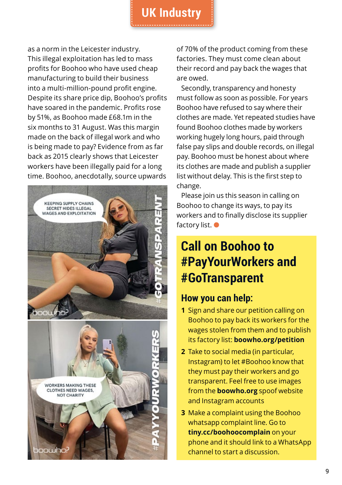#### **UK Industry**

as a norm in the Leicester industry. This illegal exploitation has led to mass profits for Boohoo who have used cheap manufacturing to build their business into a multi-million-pound profit engine. Despite its share price dip, Boohoo's profits have soared in the pandemic. Profits rose by 51%, as Boohoo made £68.1m in the six months to 31 August. Was this margin made on the back of illegal work and who is being made to pay? Evidence from as far back as 2015 clearly shows that Leicester workers have been illegally paid for a long time. Boohoo, anecdotally, source upwards



of 70% of the product coming from these factories. They must come clean about their record and pay back the wages that are owed.

Secondly, transparency and honesty must follow as soon as possible. For years Boohoo have refused to say where their clothes are made. Yet repeated studies have found Boohoo clothes made by workers working hugely long hours, paid through false pay slips and double records, on illegal pay. Boohoo must be honest about where its clothes are made and publish a supplier list without delay. This is the first step to change.

Please join us this season in calling on Boohoo to change its ways, to pay its workers and to finally disclose its supplier factory list.

#### **Call on Boohoo to #PayYourWorkers and #GoTransparent**

#### **How you can help:**

- **1** Sign and share our petition calling on Boohoo to pay back its workers for the wages stolen from them and to publish its factory list: **boowho.org/petition**
- **2** Take to social media (in particular, Instagram) to let #Boohoo know that they must pay their workers and go transparent. Feel free to use images from the **boowho.org** spoof website and Instagram accounts
- **3** Make a complaint using the Boohoo whatsapp complaint line. Go to **tiny.cc/boohoocomplain** on your phone and it should link to a WhatsApp channel to start a discussion.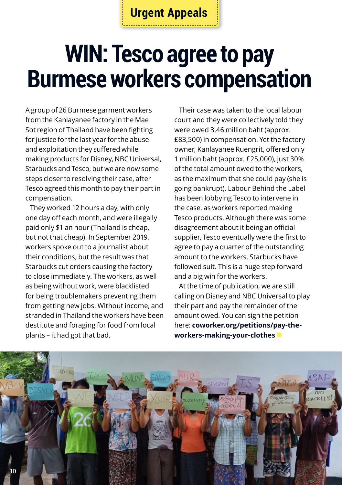### **WIN: Tesco agree to pay Burmese workers compensation**

A group of 26 Burmese garment workers from the Kanlayanee factory in the Mae Sot region of Thailand have been fighting for justice for the last year for the abuse and exploitation they suffered while making products for Disney, NBC Universal, Starbucks and Tesco, but we are now some steps closer to resolving their case, after Tesco agreed this month to pay their part in compensation.

They worked 12 hours a day, with only one day off each month, and were illegally paid only \$1 an hour (Thailand is cheap, but not that cheap). In September 2019, workers spoke out to a journalist about their conditions, but the result was that Starbucks cut orders causing the factory to close immediately. The workers, as well as being without work, were blacklisted for being troublemakers preventing them from getting new jobs. Without income, and stranded in Thailand the workers have been destitute and foraging for food from local plants – it had got that bad.

Their case was taken to the local labour court and they were collectively told they were owed 3.46 million baht (approx. £83,500) in compensation. Yet the factory owner, Kanlayanee Ruengrit, offered only 1 million baht (approx. £25,000), just 30% of the total amount owed to the workers, as the maximum that she could pay (she is going bankrupt). Labour Behind the Label has been lobbying Tesco to intervene in the case, as workers reported making Tesco products. Although there was some disagreement about it being an official supplier, Tesco eventually were the first to agree to pay a quarter of the outstanding amount to the workers. Starbucks have followed suit. This is a huge step forward and a big win for the workers.

At the time of publication, we are still calling on Disney and NBC Universal to play their part and pay the remainder of the amount owed. You can sign the petition here: **coworker.org/petitions/pay-theworkers-making-your-clothes** 

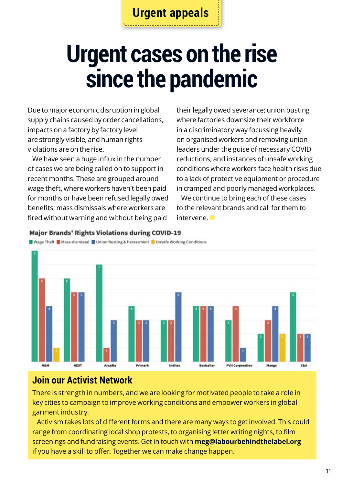### **Urgent cases on the rise since the pandemic**

Due to major economic disruption in global supply chains caused by order cancellations, impacts on a factory by factory level are strongly visible, and human rights violations are on the rise.

We have seen a huge influx in the number of cases we are being called on to support in recent months. These are grouped around wage theft, where workers haven't been paid for months or have been refused legally owed benefits; mass dismissals where workers are fired without warning and without being paid

their legally owed severance; union busting where factories downsize their workforce in a discriminatory way focussing heavily on organised workers and removing union leaders under the guise of necessary COVID reductions; and instances of unsafe working conditions where workers face health risks due to a lack of protective equipment or procedure in cramped and poorly managed workplaces.

We continue to bring each of these cases to the relevant brands and call for them to intervene.

#### **Major Brands' Rights Violations during COVID-19**





#### **Join our Activist Network**

There is strength in numbers, and we are looking for motivated people to take a role in key cities to campaign to improve working conditions and empower workers in global garment industry.

Activism takes lots of different forms and there are many ways to get involved. This could range from coordinating local shop protests, to organising letter writing nights, to film screenings and fundraising events. Get in touch with **meg@labourbehindthelabel.org** if you have a skill to offer. Together we can make change happen.